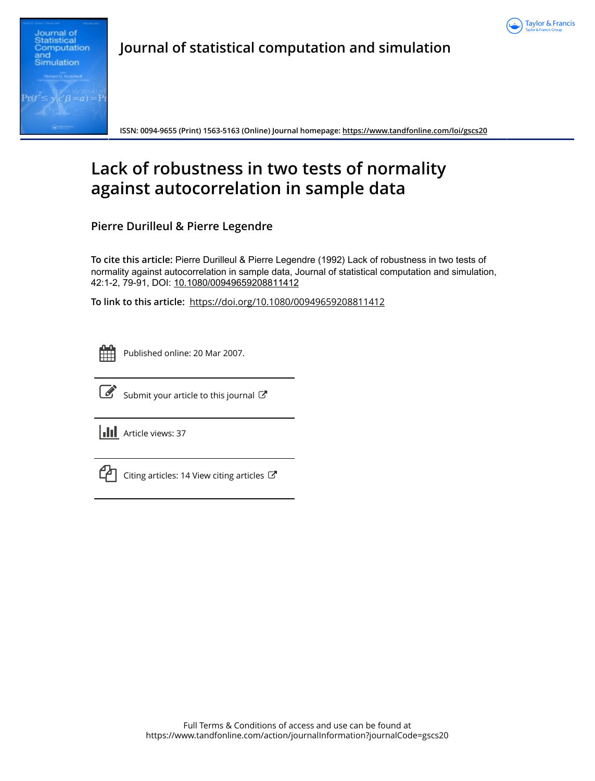



**Journal of statistical computation and simulation**

**ISSN: 0094-9655 (Print) 1563-5163 (Online) Journal homepage:<https://www.tandfonline.com/loi/gscs20>**

# **Lack of robustness in two tests of normality against autocorrelation in sample data**

**Pierre Durilleul & Pierre Legendre**

**To cite this article:** Pierre Durilleul & Pierre Legendre (1992) Lack of robustness in two tests of normality against autocorrelation in sample data, Journal of statistical computation and simulation, 42:1-2, 79-91, DOI: [10.1080/00949659208811412](https://www.tandfonline.com/action/showCitFormats?doi=10.1080/00949659208811412)

**To link to this article:** <https://doi.org/10.1080/00949659208811412>

| -- |  |  |  |
|----|--|--|--|
|    |  |  |  |
|    |  |  |  |
|    |  |  |  |

Published online: 20 Mar 2007.



 $\overrightarrow{S}$  [Submit your article to this journal](https://www.tandfonline.com/action/authorSubmission?journalCode=gscs20&show=instructions)  $\overrightarrow{S}$ 

**III** Article views: 37



 $\Box$  [Citing articles: 14 View citing articles](https://www.tandfonline.com/doi/citedby/10.1080/00949659208811412#tabModule)  $\Box$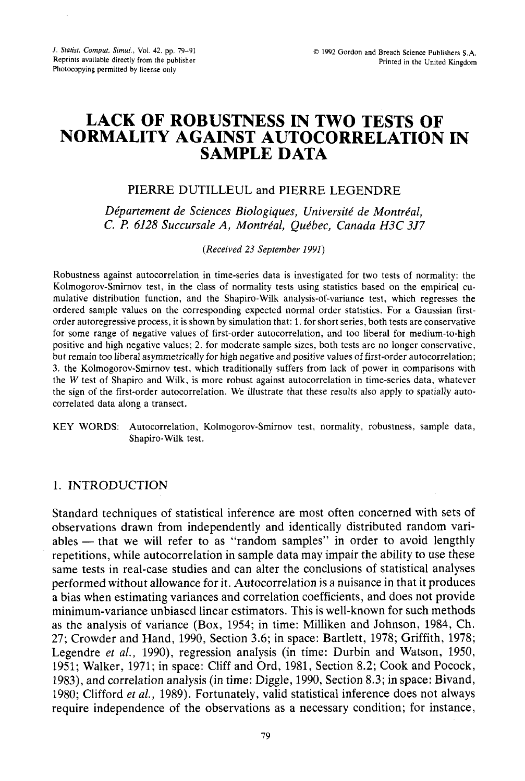# **LACK OF ROBUSTNESS IN TWO TESTS OF NORMALITY AGAINST AUTOCORRELATION IN SAMPLE DATA**

# PIERRE DUTILLEUL and PIERRE LEGENDRE

*Département de Sciences Biologiques, Université de Montréal, C.* **I?** *6128 Succursale A, Montreal, Que'bec, Canada H3C 3J7* 

*(Received 23 September 1991)* 

Robustness against autocorrelation in time-series data is investigated for two tests of normality: the Kolmogorov-Smirnov test, in the class of normality tests using statistics based on the empirical cumulative distribution function, and the Shapiro-Wilk analysis-of-variance test, which regresses the ordered sample values on the corresponding expected normal order statistics. For a Gaussian firstorder autoregressive process, it is shown by simulation that: 1. for short series, both tests are conservative for some range of negative values of first-order autocorrelation, and too liberal for medium-to-high positive and high negative values; 2. for moderate sample sizes, both tests are no longer conservative, but remain too liberal asymmetrically for high negative and positive values of first-order autocorrelation; **3.** the Kolmogorov-Smirnov test, which traditionally suffers from lack of power in comparisons with the W test of Shapiro and Wilk, is more robust against autocorrelation in time-series data, whatever the sign of the first-order autocorrelation. We illustrate that these results also apply to spatially autocorrelated data along a transect.

KEY WORDS: Autocorrelation, Kolmogorov-Smirnov test, normality, robustness, sample data, Shapiro-Wilk test.

## 1. INTRODUCTION

Standard techniques of statistical inference are most often concerned with sets of observations drawn from independently and identically distributed random variables - that we will refer to as "random samples" in order to avoid lengthly repetitions, while autocorrelation in sample data may impair the ability to use these same tests in real-case studies and can alter the conclusions of statistical analyses performed without allowance for it. Autocorrelation is a nuisance in that it produces a bias when estimating variances and correlation coefficients, and does not provide minimum-variance unbiased linear estimators. This is well-known for such methods as the analysis of variance (Box, 1954; in time: Milliken and Johnson, 1984, Ch. 27; Crowder and Hand, 1990, Section 3.6; in space: Bartlett, 1978; Griffith, 1978; Legendre *et al.*, 1990), regression analysis (in time: Durbin and Watson, 1950, 1951; Walker, 1971; in space: Cliff and Ord, 1981, Section 8.2; Cook and Pocock, 1983), and correlation analysis (in time: Diggle, 1990, Section 8.3; in space: Bivand, 1980; Clifford *et al.,* 1989). Fortunately, valid statistical inference does not always require independence of the observations as a necessary condition; for instance,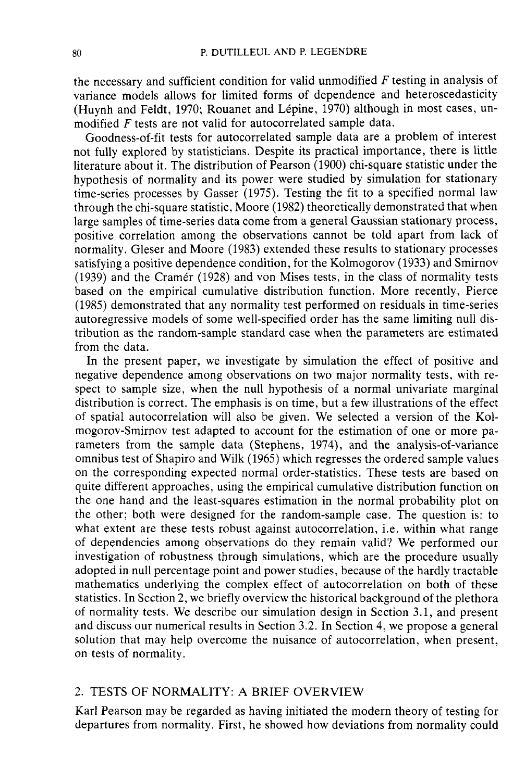the necessary and sufficient condition for valid unmodified  $F$  testing in analysis of variance models allows for limited forms of dependence and heteroscedasticity (Huynh and Feldt, 1970; Rouanet and Lépine, 1970) although in most cases, unmodified F tests are not valid for autocorrelated sample data.

Goodness-of-fit tests for autocorrelated sample data are a problem of interest not fully explored by statisticians. Despite its practical importance, there is little literature about it. The distribution of Pearson (1900) chi-square statistic under the hypothesis of normality and its power were studied by simulation for stationary time-series processes by Gasser (1975). Testing the fit to a specified normal law through the chi-square statistic, Moore (1982) theoretically demonstrated that when large samples of time-series data come from a general Gaussian stationary process, positive correlation among the observations cannot be told apart from lack of normality. Gleser and Moore (1983) extended these results to stationary processes satisfying a positive dependence condition, for the Kolmogorov (1933) and Smirnov (1939) and the Cramér (1928) and von Mises tests, in the class of normality tests based on the empirical cumulative distribution function. More recently, Pierce (1985) demonstrated that any normality test performed on residuals in time-series autoregressive models of some well-specified order has the same limiting null distribution as the random-sample standard case when the parameters are estimated from the data.

In the present paper, we investigate by simulation the effect of positive and negative dependence among observations on two major normality tests, with respect to sample size, when the null hypothesis of a normal univariate marginal distribution is correct. The emphasis is on time, but a few illustrations of the effect of spatial autocorrelation will also be given. We selected a version of the Kolmogorov-Smirnov test adapted to account for the estimation of one or more parameters from the sample data (Stephens, 1974), and the analysis-of-variance omnibus test of Shapiro and Wilk (1965) which regresses the ordered sample values on the corresponding expected normal order-statistics. These tests are based on quite different approaches, using the empirical cumulative distribution function on the one hand and the least-squares estimation in the normal probability plot on the other; both were designed for the random-sample case. The question is: to what extent are these tests robust against autocorrelation, i.e. within what range of dependencies among observations do they remain valid? We performed our investigation of robustness through simulations, which are the procedure usually adopted in null percentage point and power studies, because of the hardly tractable mathematics underlying the complex effect of autocorrelation on both of these statistics. In Section 2, we briefly overview the historical background of the plethora of normality tests. We describe our simulation design in Section 3.1, and present and discuss our numerical results in Section 3.2. In Section 4, we propose a general solution that may help overcome the nuisance of autocorrelation, when present, on tests of normality.

# 2. TESTS OF NORMALITY: A BRIEF OVERVIEW

Karl Pearson may be regarded as having initiated the modern theory of testing for departures from normality. First, he showed how deviations from normality could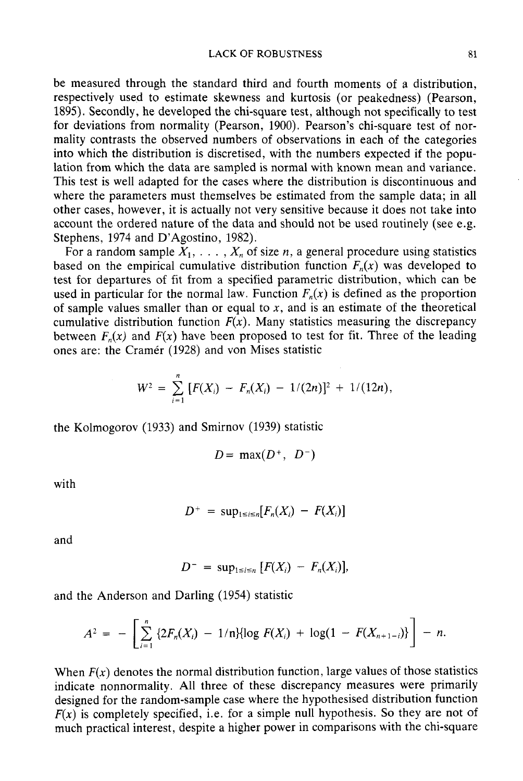be measured through the standard third and fourth moments of a distribution, respectively used to estimate skewness and kurtosis (or peakedness) (Pearson, 1895). Secondly, he developed the chi-square test, although not specifically to test for deviations from normality (Pearson, 1900). Pearson's chi-square test of normality contrasts the observed numbers of observations in each of the categories into which the distribution is discretised, with the numbers expected if the population from which the data are sampled is normal with known mean and variance. This test is well adapted for the cases where the distribution is discontinuous and where the parameters must themselves be estimated from the sample data; in all other cases, however, it is actually not very sensitive because it does not take into account the ordered nature of the data and should not be used routinely (see e.g. Stephens, 1974 and D'Agostino, 1982).

For a random sample  $X_1, \ldots, X_n$  of size n, a general procedure using statistics based on the empirical cumulative distribution function  $F_n(x)$  was developed to test for departures of fit from a specified parametric distribution, which can be used in particular for the normal law. Function  $F_n(x)$  is defined as the proportion of sample values smaller than or equal to x, and is an estimate of the theoretical cumulative distribution function  $F(x)$ . Many statistics measuring the discrepancy between  $F_n(x)$  and  $F(x)$  have been proposed to test for fit. Three of the leading ones are: the Cramer (1928) and von Mises statistic

$$
W^2 = \sum_{i=1}^n [F(X_i) - F_n(X_i) - 1/(2n)]^2 + 1/(12n),
$$

the Kolmogorov (1933) and Smirnov (1939) statistic

$$
D = \max(D^+, D^-)
$$

with

$$
D^+ = \sup_{1 \leq i \leq n} [F_n(X_i) - F(X_i)]
$$

and

$$
D^- = \sup_{1 \leq i \leq n} [F(X_i) - F_n(X_i)],
$$

and the Anderson and Darling (1954) statistic

$$
A^{2} = - \left[ \sum_{i=1}^{n} \{2F_{n}(X_{i}) - 1/n\} \{ \log F(X_{i}) + \log(1 - F(X_{n+1-i}) \} \right] - n.
$$

When  $F(x)$  denotes the normal distribution function, large values of those statistics indicate nonnormality. All three of these discrepancy measures were primarily designed for the random-sample case where the hypothesised distribution function  $F(x)$  is completely specified, i.e. for a simple null hypothesis. So they are not of much practical interest, despite a higher power in comparisons with the chi-square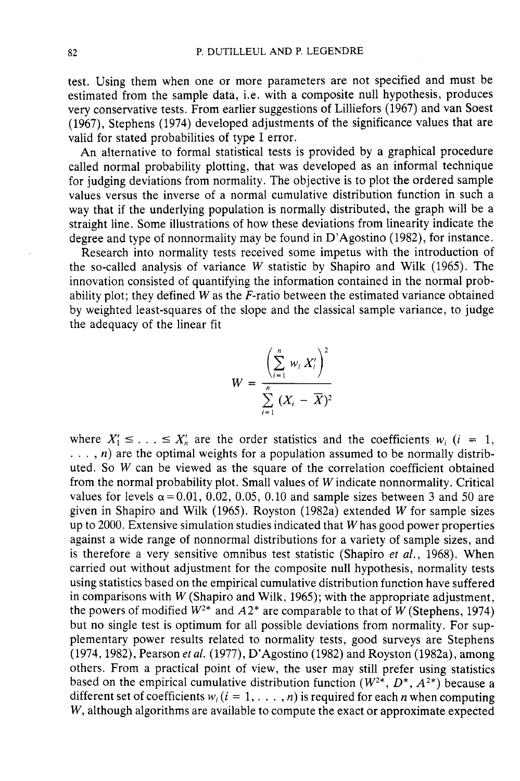test. Using them when one or more parameters are not specified and must be estimated from the sample data, i.e. with a composite null hypothesis, produces very conservative tests. From earlier suggestions of Lilliefors (1967) and van Soest (1967), Stephens (1974) developed adjustments of the significance values that are valid for stated probabilities of type I error.

An alternative to formal statistical tests is provided by a graphical procedure called normal probability plotting, that was developed as an informal technique for judging deviations from normality. The objective is to plot the ordered sample values versus the inverse of a normal cumulative distribution function in such a way that if the underlying population is normally distributed, the graph will be a straight line. Some illustrations of how these deviations from linearity indicate the degree and type of nonnormality may be found in D'Agostino (1982), for instance.

Research into normality tests received some impetus with the introduction of the so-called analysis of variance W statistic by Shapiro and Wilk (1965). The innovation consisted of quantifying the information contained in the normal probability plot; they defined W as the  $\overline{F}$ -ratio between the estimated variance obtained by weighted least-squares of the slope and the classical sample variance, to judge the adequacy of the linear fit

$$
W = \frac{\left(\sum_{i=1}^n w_i X'_i\right)^2}{\sum_{i=1}^n (X_i - \overline{X})^2}
$$

where  $X'_1 \leq \ldots \leq X'_n$  are the order statistics and the coefficients  $w_i$  (i = 1,  $\dots$ , n) are the optimal weights for a population assumed to be normally distributed. So W can be viewed as the square of the correlation coefficient obtained from the normal probability plot. Small values of W indicate nonnormality. Critical values for levels  $\alpha$ =0.01, 0.02, 0.05, 0.10 and sample sizes between 3 and 50 are given in Shapiro and Wilk (1965). Royston (1982a) extended W for sample sizes up to 2000. Extensive simulation studies indicated that W has good power properties against a wide range of nonnormal distributions for a variety of sample sizes, and is therefore a very sensitive omnibus test statistic (Shapiro et al., 1968). When carried out without adjustment for the composite null hypothesis, normality tests using statistics based on the empirical cumulative distribution function have suffered in comparisons with  $W$  (Shapiro and Wilk, 1965); with the appropriate adjustment, the powers of modified  $W^{2*}$  and  $A2^*$  are comparable to that of W (Stephens, 1974) but no single test is optimum for all possible deviations from normality. For supplementary power results related to normality tests, good surveys are Stephens (1974, 1982), Pearson *et al.* (1977), D'Agostino (1982) and Royston (1982a), among others. From a practical point of view, the user may still prefer using statistics based on the empirical cumulative distribution function  $(W^{2*}, D^*, A^{2*})$  because a different set of coefficients  $w_i$  ( $i = 1, \ldots, n$ ) is required for each *n* when computing W, although algorithms are available to compute the exact or approximate expected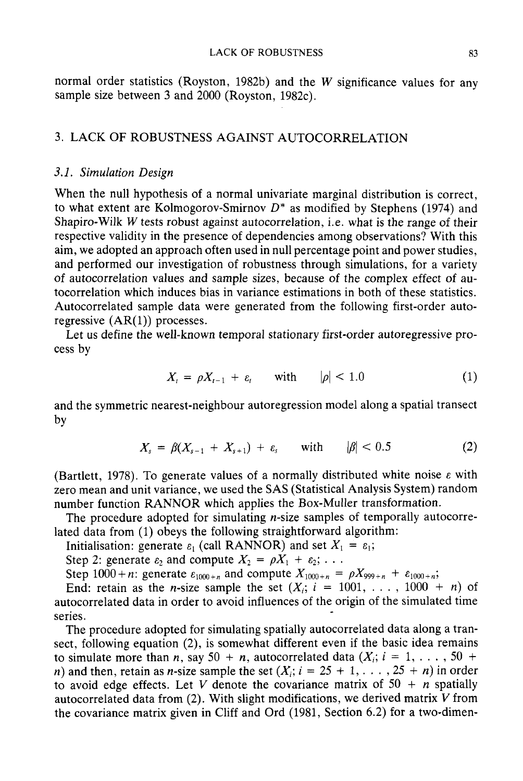normal order statistics (Royston, 1982b) and the  $W$  significance values for any sample size between 3 and  $2000$  (Royston, 1982c).

# 3. LACK OF ROBUSTNESS AGAINST AUTOCORRELATION

#### 3.1. Simulation Design

When the null hypothesis of a normal univariate marginal distribution is correct, to what extent are Kolmogorov-Smirnov  $D^*$  as modified by Stephens (1974) and Shapiro-Wilk W tests robust against autocorrelation, i.e. what is the range of their respective validity in the presence of dependencies among observations? With this aim, we adopted an approach often used in null percentage point and power studies, and performed our investigation of robustness through simulations, for a variety of autocorrelation values and sample sizes, because of the complex effect of autocorrelation which induces bias in variance estimations in both of these statistics. Autocorrelated sample data were generated from the following first-order autoregressive  $(AR(1))$  processes.

Let us define the well-known temporal stationary first-order autoregressive process by

$$
X_t = \rho X_{t-1} + \varepsilon_t \quad \text{with} \quad |\rho| < 1.0 \tag{1}
$$

and the symmetric nearest-neighbour autoregression model along a spatial transect by

$$
X_s = \beta(X_{s-1} + X_{s+1}) + \varepsilon_s \quad \text{with} \quad |\beta| < 0.5 \tag{2}
$$

(Bartlett, 1978). To generate values of a normally distributed white noise  $\varepsilon$  with zero mean and unit variance, we used the SAS (Statistical Analysis System) random number function RANNOR which applies the Box-Muller transformation.

The procedure adopted for simulating  $n$ -size samples of temporally autocorrelated data from (1) obeys the following straightforward algorithm:

Initialisation: generate  $\varepsilon_1$  (call RANNOR) and set  $X_1 = \varepsilon_1$ ;

Step 2: generate  $\varepsilon_2$  and compute  $X_2 = \rho X_1 + \varepsilon_2$ ; ...

Step 1000+n: generate  $\varepsilon_{1000+n}$  and compute  $X_{1000+n} = \rho X_{999+n} + \varepsilon_{1000+n}$ ;

End: retain as the *n*-size sample the set  $(X_i; i = 1001, \ldots, 1000 + n)$  of autocorrelated data in order to avoid influences of the origin of the simulated time series.

The procedure adopted for simulating spatially autocorrelated data along a transect, following equation (2), is somewhat different even if the basic idea remains to simulate more than *n*, say 50 + *n*, autocorrelated data  $(X_i; i = 1, \ldots, 50 +$ n) and then, retain as n-size sample the set  $(X_i; i = 25 + 1, \ldots, 25 + n)$  in order to avoid edge effects. Let V denote the covariance matrix of  $50 + n$  spatially autocorrelated data from (2). With slight modifications, we derived matrix  $V$  from the covariance matrix given in Cliff and Ord (1981, Section 6.2) for a two-dimen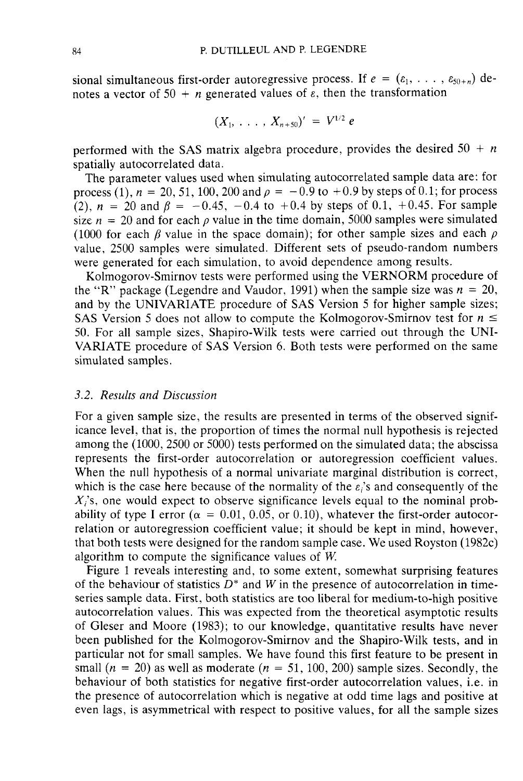sional simultaneous first-order autoregressive process. If  $e = (e_1, \ldots, e_{50+n})$  denotes a vector of 50 + *n* generated values of  $\varepsilon$ , then the transformation

$$
(X_1, \ldots, X_{n+50})' = V^{1/2} e
$$

performed with the SAS matrix algebra procedure, provides the desired  $50 + n$ spatially autocorrelated data.

The parameter values used when simulating autocorrelated sample data are: for process (1),  $n = 20, 51, 100, 200$  and  $p = -0.9$  to  $+0.9$  by steps of 0.1; for process (2),  $n = 20$  and  $\beta = -0.45, -0.4$  to  $+0.4$  by steps of 0.1,  $+0.45$ . For sample size  $n = 20$  and for each  $\rho$  value in the time domain, 5000 samples were simulated (1000 for each  $\beta$  value in the space domain); for other sample sizes and each  $\rho$ value, 2500 samples were simulated. Different sets of pseudo-random numbers were generated for each simulation, to avoid dependence among results.

Kolmogorov-Smirnov tests were performed using the VERNORM procedure of the "R" package (Legendre and Vaudor, 1991) when the sample size was  $n = 20$ , and by the UNIVARIATE procedure of SAS Version 5 for higher sample sizes;<br>SAS Version 5 does not allow to compute the Kolmogorov-Smirnov test f and by the UNIVARIATE procedure of SAS Version 5 for higher sample sizes;<br>SAS Version 5 does not allow to compute the Kolmogorov-Smirnov test for  $n \le$ 50. For all sample sizes, Shapiro-Wilk tests were carried out through the UNI-VARIATE procedure of SAS Version 6. Both tests were performed on the same simulated samples.

## *3.2. Results and Discussion*

For a given sample size, the results are presented in terms of the observed significance level, that is, the proportion of times the normal null hypothesis is rejected among the  $(1000, 2500 \text{ or } 5000)$  tests performed on the simulated data; the abscissa represents the first-order autocorrelation or autoregression coefficient values. When the null hypothesis of a normal univariate marginal distribution is correct, which is the case here because of the normality of the  $\varepsilon_i$ 's and consequently of the  $X_i$ 's, one would expect to observe significance levels equal to the nominal probability of type I error  $(\alpha = 0.01, 0.05, \text{ or } 0.10)$ , whatever the first-order autocorrelation or autoregression coefficient value; it should be kept in mind, however, that both tests were designed for the random sample case. We used Royston (1982c) algorithm to compute the significance values of  $W$ .

Figure 1 reveals interesting and, to some extent, somewhat surprising features of the behaviour of statistics  $\overline{D^*}$  and W in the presence of autocorrelation in timeseries sample data. First, both statistics are too liberal for medium-to-high positive autocorrelation values. This was expected from the theoretical asymptotic results of Gleser and Moore (1983); to our knowledge, quantitative results have never been published for the Kolmogorov-Smirnov and the Shapiro-Wilk tests, and in particular not for small samples. We have found this first feature to be present in small  $(n = 20)$  as well as moderate  $(n = 51, 100, 200)$  sample sizes. Secondly, the behaviour of both statistics for negative first-order autocorrelation values, i.e. in the presence of autocorrelation which is negative at odd time lags and positive at even lags, is asymmetrical with respect to positive values, for all the sample sizes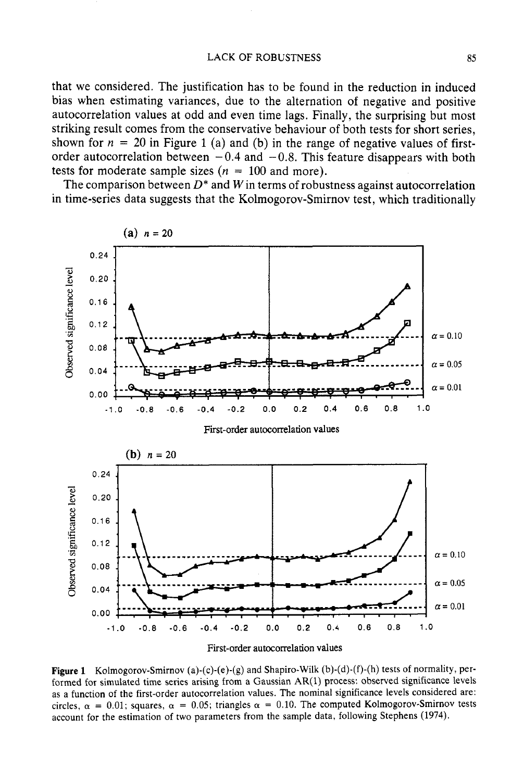#### LACK OF ROBUSTNESS 85

that we considered. The justification has to be found in the reduction in induced bias when estimating variances, due to the alternation of negative and positive autocorrelation values at odd and even time lags. Finally, the surprising but most striking result comes from the conservative behaviour of both tests for short series, shown for  $n = 20$  in Figure 1 (a) and (b) in the range of negative values of firstorder autocorrelation between  $-0.4$  and  $-0.8$ . This feature disappears with both tests for moderate sample sizes ( $n = 100$  and more).

The comparison between  $D^*$  and W in terms of robustness against autocorrelation in time-series data suggests that the Kolmogorov-Smirnov test, which traditionally





**Figure 1** Kolmogorov-Smirnov (a)-(c)-(e)-(g) and Shapiro-Wilk (b)-(d)-(f)-(h) tests of normality, performed for simulated time series arising from a Gaussian AR(1) process: observed significance levels as a function of the first-order autocorrelation values. The nominal significance levels considered are: circles,  $\alpha = 0.01$ ; squares,  $\alpha = 0.05$ ; triangles  $\alpha = 0.10$ . The computed Kolmogorov-Smirnov tests account for the estimation of two parameters from the sample data, following Stephens (1974).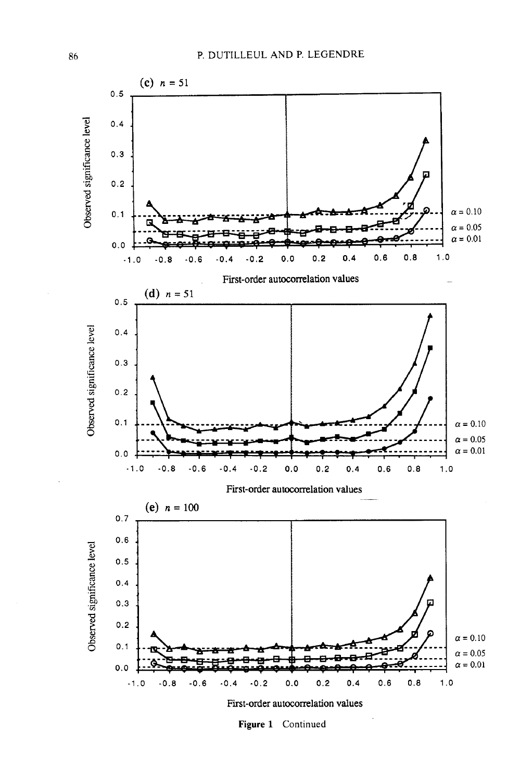

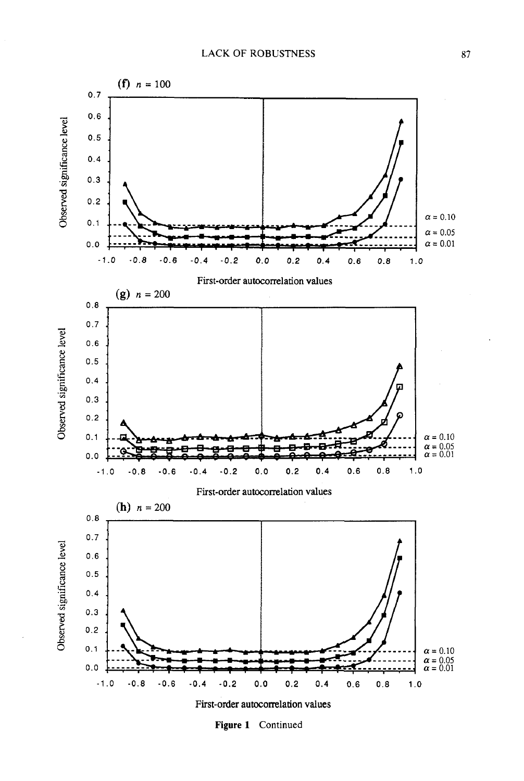

**Figure 1** Continued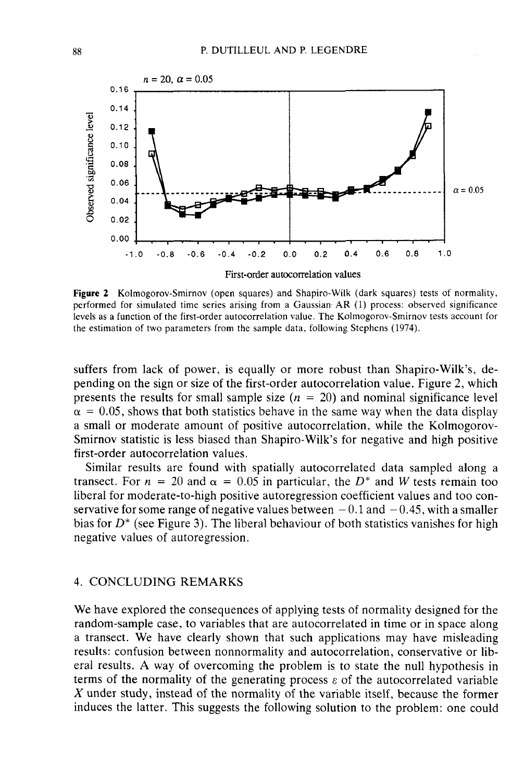

**Figure** 2 Kolmogorov-Smirnov (open squares) and Shapiro-Wilk (dark squares) tests of normality, performed for simulated time series arising from a Gaussian AR (1) process: observed significance levels as a function of the first-order autocorrelation value. The Kolmogorov-Smirnov tests account for the estimation of two parameters from the sample data, following Stephens (1974).

suffers from lack of power, is equally or more robust than Shapiro-Wilk's, depending on the sign or size of the first-order autocorrelation value. Figure 2, which presents the results for small sample size  $(n = 20)$  and nominal significance level  $\alpha$  = 0.05, shows that both statistics behave in the same way when the data display a small or moderate amount of positive autocorrelation, while the Kolmogorov-Smirnov statistic is less biased than Shapiro-Wilk's for negative and high positive first-order autocorrelation values.

Similar results are found with spatially autocorrelated data sampled along a transect. For  $n = 20$  and  $\alpha = 0.05$  in particular, the  $D^*$  and W tests remain too liberal for moderate-to-high positive autoregression coefficient values and too conservative for some range of negative values between  $-0.1$  and  $-0.45$ , with a smaller bias for D\* (see Figure **3).** The liberal behaviour of both statistics vanishes for high negative values of autoregression.

## 4. CONCLUDING REMARKS

We have explored the consequences of applying tests of normality designed for the random-sample case, to variables that are autocorrelated in time or in space along a transect. We have clearly shown that such applications may have misleading results: confusion between nonnormality and autocorrelation, conservative or liberal results. A way of overcoming the problem is to state the null hypothesis in terms of the normality of the generating process  $\varepsilon$  of the autocorrelated variable  $X$  under study, instead of the normality of the variable itself, because the former induces the latter. This suggests the following solution to the problem: one could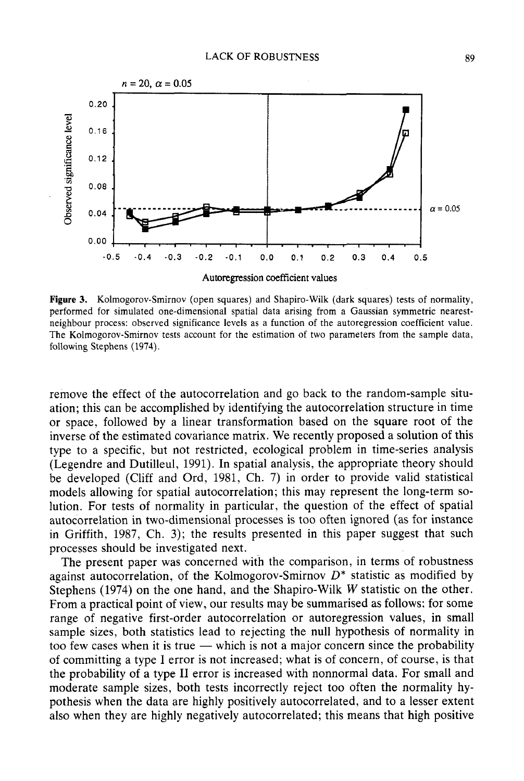

**Autoregression** coefficient **values** 

**Figure 3.** Kolmogorov-Smirnov (open squares) and Shapiro-Wilk (dark squares) tests of normality, performed for simulated one-dimensional spatial data arising from a Gaussian symmetric nearestneighbour process: observed significance levels as a function of the autoregression coefficient value. The Kolmogorov-Smirnov tests account for the estimation of two parameters from the sample data, following Stephens (1974).

remove the effect of the autocorrelation and go back to the random-sample situation; this can be accomplished by identifying the autocorrelation structure in time or space, followed by a linear transformation based on the square root of the inverse of the estimated covariance matrix. We recently proposed a solution of this type to a specific, but not restricted, ecological problem in time-series analysis (Legendre and Dutilleul, 1991). In spatial analysis, the appropriate theory should be developed (Cliff and Ord, 1981, Ch. 7) in order to provide valid statistical models allowing for spatial autocorrelation; this may represent the long-term solution. For tests of normality in particular, the question of the effect of spatial autocorrelation in two-dimensional processes is too often ignored (as for instance in Griffith, 1987, Ch. **3);** the results presented in this paper suggest that such processes should be investigated next.

The present paper was concerned with the comparison, in terms of robustness against autocorrelation, of the Kolmogorov-Smirnov  $D^*$  statistic as modified by Stephens (1974) on the one hand, and the Shapiro-Wilk W statistic on the other. From a practical point of view, our results may be summarised as follows: for some range of negative first-order autocorrelation or autoregression values, in small sample sizes, both statistics lead to rejecting the null hypothesis of normality in range of negative first-order autocorrelation or autoregression values, in small sample sizes, both statistics lead to rejecting the null hypothesis of normality in too few cases when it is true — which is not a major con of committing a type I error is not increased; what is of concern, of course, is that the probability of a type I1 error is increased with nonnormal data. For small and moderate sample sizes, both tests incorrectly reject too often the normality hypothesis when the data are highly positively autocorrelated, and to a lesser extent also when they are highly negatively autocorrelated; this means that high positive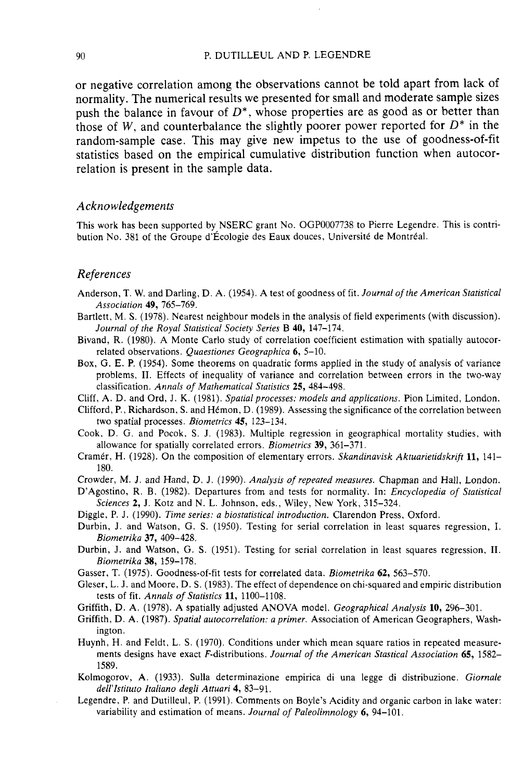#### 90 P. DUTILLEUL AND P. LEGENDRE

or negative correlation among the observations cannot be told apart from lack of normality. The numerical results we presented for small and moderate sample sizes push the balance in favour of  $D^*$ , whose properties are as good as or better than those of W, and counterbalance the slightly poorer power reported for  $D^*$  in the random-sample case. This may give new impetus to the use of goodness-of-fit statistics based on the empirical cumulative distribution function when autocorrelation is present in the sample data.

#### *Acknowledgements*

This work has been supported by NSERC grant No. OGP0007738 to Pierre Legendre. This is contribution No. 381 of the Groupe d'Écologie des Eaux douces, Université de Montréal.

#### *References*

- Anderson, T. W. and Darling, D. A. (1954). A test of goodness of fit. *Journal of the American Statistical Association* **49,** 765-769.
- Bartlett, M. S. (1978). Nearest neighbour models in the analysis of field experiments (with discussion). *Journal of the Royal Statistical Society Series* B **40,** 147-174.
- Bivand, R. (1980). A Monte Carlo study of correlation coefficient estimation with spatially autocorrelated observations. *Quaestiones Geographica* **6,** 5-10.
- Box, G. E. P. (1954). Some theorems on quadratic forms applied in the study of analysis of variance problems, **11.** Effects of inequality of variance and correlation between errors in the two-way classification. *Annals of Mathematical Statistics* **25,** 484-498.
- Cliff, A. D. and Ord, J. K. (1981). *Spatial processes: models and applications.* Pion Limited, London.
- Clifford, P., Richardson, S. and Hémon, D. (1989). Assessing the significance of the correlation between two spatial processes. *Biometrics* **45,** 123-134.
- Cook, D. G. and Pocok, S. J. (1983). Multiple regression in geographical mortality studies, with allowance for spatially correlated errors. *Biometrics* **39,** 361-371.
- Cramér, H. (1928). On the composition of elementary errors. *Skandinavisk Aktuarietidskrift* 11, 141-180.
- Crowder, M. **J,** and Hand, D. J. (1990). *Analysis of repeated measures.* Chapman and Hall, London.
- D'Agostino, R. B. (1982). Departures from and tests for normality. In: *Encyclopedia of Statistical Sciences* **2,** J. Kotz and N. L. Johnson, eds., Wiley, New York, 315-324.
- Diggle, P. J. (1990). *Time series: a biostatistical introduction.* Clarendon Press, Oxford.
- Durbin, J. and Watson, G. S. (1950). Testing for serial correlation in least squares regression, I. *Biomerrika 37,* 409-428.
- Durbin, **J.** and Watson, G. S. (1951). Testing for serial correlation in least squares regression, 11. *Biometrika* **38,** 159-178.
- Gasser, T. (1975). Goodness-of-fit tests for correlated data. *Biometrika* **62,** 563-570.
- Gleser, L. J. and Moore, D. S. (1983). The effect of dependence on chi-squared and empiric distribution tests of fit. *Annals of Statistics* **11,** 1100-1108.
- Griffith, D. A. (1978). **A** spatially adjusted ANOVA model. *Geographical Analysis* **10,** 296-301.
- Griffith, D. A. (1987). *Spatial autocorrelation: a primer.* Association of American Geographers, Washington.
- Huynh, H. and Feldt, L. S. (1970). Conditions under which mean square ratios in repeated measurements designs have exact F-distributions. *Journal of the American Stastical Association* **65,** 1582- 1589.
- Kolmogorov, **A.** (1933). Sulla determinazione empirica di una legge di distribuzione. *Giornale dell'lstituto Italiano degli Attuari* **4,** 83-91.
- Legendre, P. and Dutilleul, P. (1991). Comments on Boyle's Acidity and organic carbon in lake water: variability and estimation of means. *Journal of Paleolimnology* **6,** 94-101.